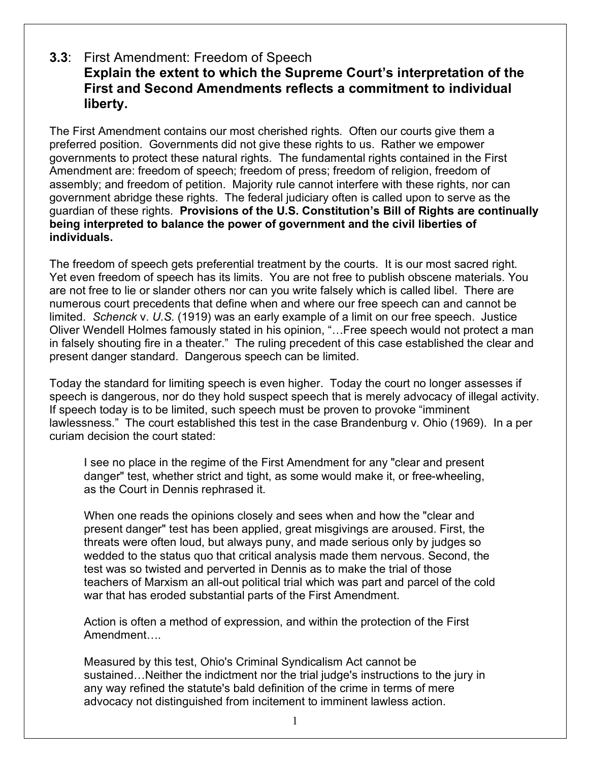## **3.3**: First Amendment: Freedom of Speech **Explain the extent to which the Supreme Court's interpretation of the First and Second Amendments reflects a commitment to individual liberty.**

The First Amendment contains our most cherished rights. Often our courts give them a preferred position. Governments did not give these rights to us. Rather we empower governments to protect these natural rights. The fundamental rights contained in the First Amendment are: freedom of speech; freedom of press; freedom of religion, freedom of assembly; and freedom of petition. Majority rule cannot interfere with these rights, nor can government abridge these rights. The federal judiciary often is called upon to serve as the guardian of these rights. **Provisions of the U.S. Constitution's Bill of Rights are continually being interpreted to balance the power of government and the civil liberties of individuals.**

The freedom of speech gets preferential treatment by the courts. It is our most sacred right. Yet even freedom of speech has its limits. You are not free to publish obscene materials. You are not free to lie or slander others nor can you write falsely which is called libel. There are numerous court precedents that define when and where our free speech can and cannot be limited. *Schenck* v. *U.S.* (1919) was an early example of a limit on our free speech. Justice Oliver Wendell Holmes famously stated in his opinion, "…Free speech would not protect a man in falsely shouting fire in a theater." The ruling precedent of this case established the clear and present danger standard. Dangerous speech can be limited.

Today the standard for limiting speech is even higher. Today the court no longer assesses if speech is dangerous, nor do they hold suspect speech that is merely advocacy of illegal activity. If speech today is to be limited, such speech must be proven to provoke "imminent lawlessness." The court established this test in the case Brandenburg v. Ohio (1969). In a per curiam decision the court stated:

I see no place in the regime of the First Amendment for any "clear and present danger" test, whether strict and tight, as some would make it, or free-wheeling, as the Court in Dennis rephrased it.

When one reads the opinions closely and sees when and how the "clear and present danger" test has been applied, great misgivings are aroused. First, the threats were often loud, but always puny, and made serious only by judges so wedded to the status quo that critical analysis made them nervous. Second, the test was so twisted and perverted in Dennis as to make the trial of those teachers of Marxism an all-out political trial which was part and parcel of the cold war that has eroded substantial parts of the First Amendment.

Action is often a method of expression, and within the protection of the First Amendment….

Measured by this test, Ohio's Criminal Syndicalism Act cannot be sustained…Neither the indictment nor the trial judge's instructions to the jury in any way refined the statute's bald definition of the crime in terms of mere advocacy not distinguished from incitement to imminent lawless action.